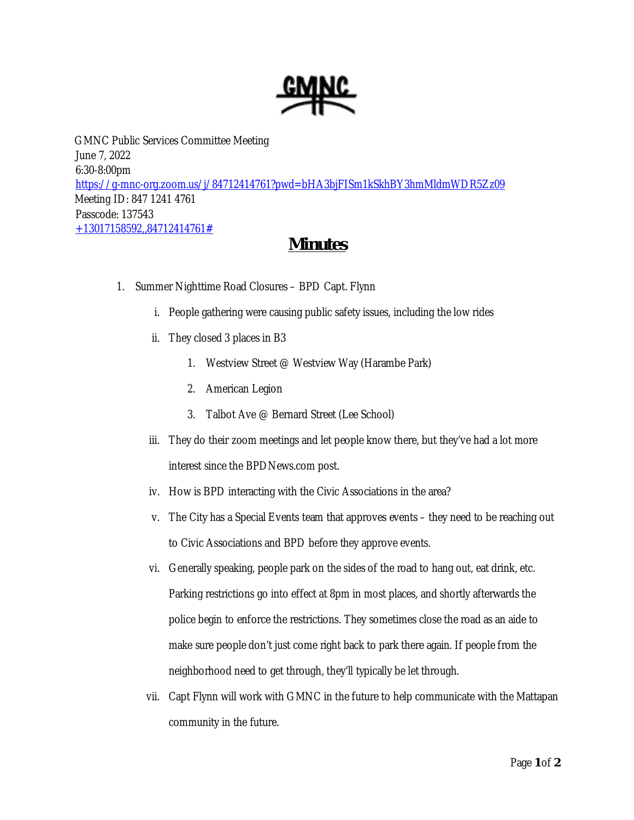

GMNC Public Services Committee Meeting June 7, 2022 6:30-8:00pm https://g-mnc-org.zoom.us/j/84712414761?pwd=bHA3bjFISm1kSkhBY3hmMldmWDR5Zz09 Meeting ID: 847 1241 4761 Passcode: 137543 +13017158592,,84712414761#

## **Minutes**

- 1. Summer Nighttime Road Closures BPD Capt. Flynn
	- i. People gathering were causing public safety issues, including the low rides
	- ii. They closed 3 places in B3
		- 1. Westview Street @ Westview Way (Harambe Park)
		- 2. American Legion
		- 3. Talbot Ave @ Bernard Street (Lee School)
	- iii. They do their zoom meetings and let people know there, but they've had a lot more interest since the BPDNews.com post.
	- iv. How is BPD interacting with the Civic Associations in the area?
	- v. The City has a Special Events team that approves events they need to be reaching out to Civic Associations and BPD before they approve events.
	- vi. Generally speaking, people park on the sides of the road to hang out, eat drink, etc. Parking restrictions go into effect at 8pm in most places, and shortly afterwards the police begin to enforce the restrictions. They sometimes close the road as an aide to make sure people don't just come right back to park there again. If people from the neighborhood need to get through, they'll typically be let through.
	- vii. Capt Flynn will work with GMNC in the future to help communicate with the Mattapan community in the future.